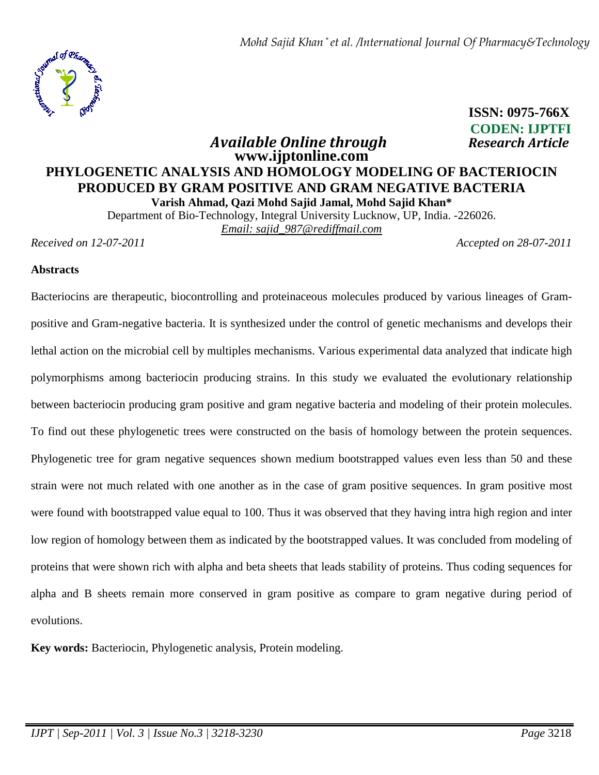

# **ISSN: 0975-766X CODEN: IJPTFI**  *Available Online through* **Research Article Research Article**

# **www.ijptonline.com PHYLOGENETIC ANALYSIS AND HOMOLOGY MODELING OF BACTERIOCIN PRODUCED BY GRAM POSITIVE AND GRAM NEGATIVE BACTERIA Varish Ahmad, Qazi Mohd Sajid Jamal, Mohd Sajid Khan\***

Department of Bio-Technology, Integral University Lucknow, UP, India. -226026. *Email: sajid\_987@rediffmail.com*

*Received on 12-07-2011 Accepted on 28-07-2011*

### **Abstracts**

Bacteriocins are therapeutic, biocontrolling and proteinaceous molecules produced by various lineages of Grampositive and Gram-negative bacteria. It is synthesized under the control of genetic mechanisms and develops their lethal action on the microbial cell by multiples mechanisms. Various experimental data analyzed that indicate high polymorphisms among bacteriocin producing strains. In this study we evaluated the evolutionary relationship between bacteriocin producing gram positive and gram negative bacteria and modeling of their protein molecules. To find out these phylogenetic trees were constructed on the basis of homology between the protein sequences. Phylogenetic tree for gram negative sequences shown medium bootstrapped values even less than 50 and these strain were not much related with one another as in the case of gram positive sequences. In gram positive most were found with bootstrapped value equal to 100. Thus it was observed that they having intra high region and inter low region of homology between them as indicated by the bootstrapped values. It was concluded from modeling of proteins that were shown rich with alpha and beta sheets that leads stability of proteins. Thus coding sequences for alpha and B sheets remain more conserved in gram positive as compare to gram negative during period of evolutions.

**Key words:** Bacteriocin, Phylogenetic analysis, Protein modeling.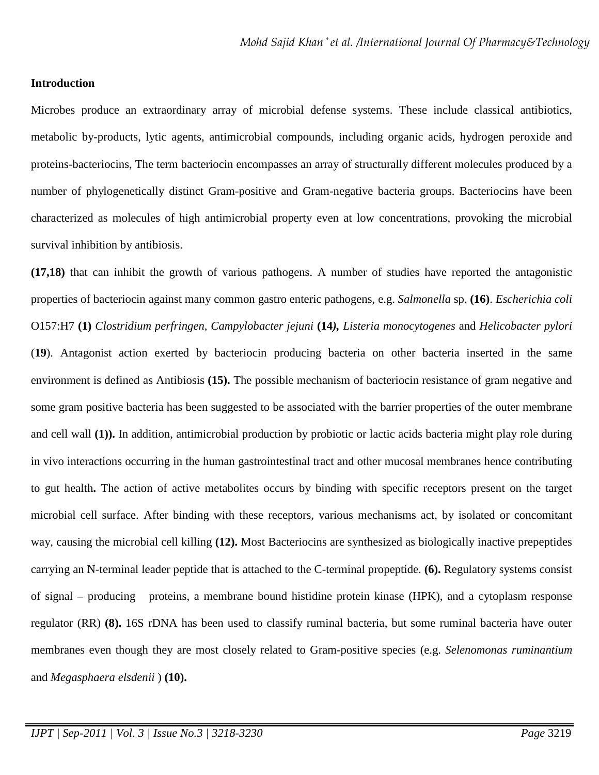#### **Introduction**

Microbes produce an extraordinary array of microbial defense systems. These include classical antibiotics, metabolic by-products, lytic agents, antimicrobial compounds, including organic acids, hydrogen peroxide and proteins-bacteriocins, The term bacteriocin encompasses an array of structurally different molecules produced by a number of phylogenetically distinct Gram-positive and Gram-negative bacteria groups. Bacteriocins have been characterized as molecules of high antimicrobial property even at low concentrations, provoking the microbial survival inhibition by antibiosis.

**(17,18)** that can inhibit the growth of various pathogens. A number of studies have reported the antagonistic properties of bacteriocin against many common gastro enteric pathogens, e.g. *Salmonella* sp. **(16)**. *Escherichia coli* O157:H7 **(1)** *Clostridium perfringen, Campylobacter jejuni* **(14***), Listeria monocytogenes* and *Helicobacter pylori* (**19**). Antagonist action exerted by bacteriocin producing bacteria on other bacteria inserted in the same environment is defined as Antibiosis **(15).** The possible mechanism of bacteriocin resistance of gram negative and some gram positive bacteria has been suggested to be associated with the barrier properties of the outer membrane and cell wall **(1)).** In addition, antimicrobial production by probiotic or lactic acids bacteria might play role during in vivo interactions occurring in the human gastrointestinal tract and other mucosal membranes hence contributing to gut health**.** The action of active metabolites occurs by binding with specific receptors present on the target microbial cell surface. After binding with these receptors, various mechanisms act, by isolated or concomitant way, causing the microbial cell killing **(12).** Most Bacteriocins are synthesized as biologically inactive prepeptides carrying an N-terminal leader peptide that is attached to the C-terminal propeptide. **(6).** Regulatory systems consist of signal – producing proteins, a membrane bound histidine protein kinase (HPK), and a cytoplasm response regulator (RR) **(8).** 16S rDNA has been used to classify ruminal bacteria, but some ruminal bacteria have outer membranes even though they are most closely related to Gram-positive species (e.g. *Selenomonas ruminantium* and *Megasphaera elsdenii* ) **(10).**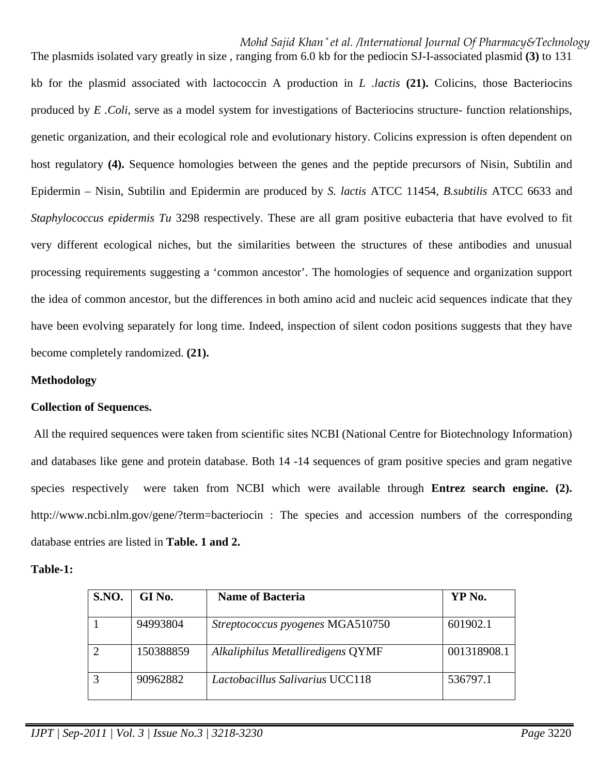*Mohd Sajid Khan \* et al. /International Journal Of Pharmacy&Technology*

The plasmids isolated vary greatly in size , ranging from 6.0 kb for the pediocin SJ-I-associated plasmid **(3)** to 131 kb for the plasmid associated with lactococcin A production in *L .lactis* **(21).** Colicins, those Bacteriocins produced by *E .Coli*, serve as a model system for investigations of Bacteriocins structure- function relationships, genetic organization, and their ecological role and evolutionary history. Colicins expression is often dependent on host regulatory **(4).** Sequence homologies between the genes and the peptide precursors of Nisin, Subtilin and Epidermin – Nisin, Subtilin and Epidermin are produced by *S. lactis* ATCC 11454, *B.subtilis* ATCC 6633 and *Staphylococcus epidermis Tu* 3298 respectively. These are all gram positive eubacteria that have evolved to fit very different ecological niches, but the similarities between the structures of these antibodies and unusual processing requirements suggesting a 'common ancestor'. The homologies of sequence and organization support the idea of common ancestor, but the differences in both amino acid and nucleic acid sequences indicate that they have been evolving separately for long time. Indeed, inspection of silent codon positions suggests that they have become completely randomized. **(21).** 

### **Methodology**

### **Collection of Sequences.**

 All the required sequences were taken from scientific sites NCBI (National Centre for Biotechnology Information) and databases like gene and protein database. Both 14 -14 sequences of gram positive species and gram negative species respectively were taken from NCBI which were available through **Entrez search engine. (2).**  http://www.ncbi.nlm.gov/gene/?term=bacteriocin : The species and accession numbers of the corresponding database entries are listed in **Table. 1 and 2.** 

#### **Table-1:**

| <b>S.NO.</b> | GI No.    | <b>Name of Bacteria</b>                 | YP No.      |
|--------------|-----------|-----------------------------------------|-------------|
|              | 94993804  | <i>Streptococcus pyogenes</i> MGA510750 | 601902.1    |
|              | 150388859 | Alkaliphilus Metalliredigens QYMF       | 001318908.1 |
|              | 90962882  | <i>Lactobacillus Salivarius UCC118</i>  | 536797.1    |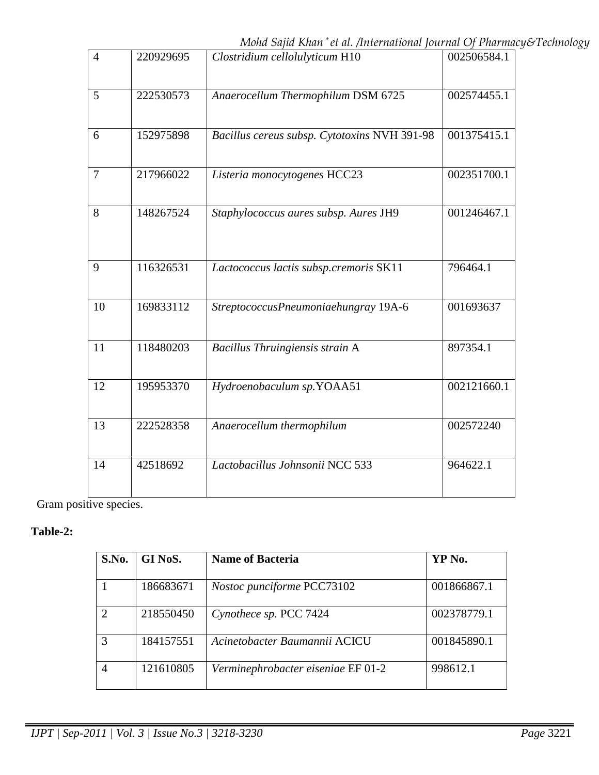*Mohd Sajid Khan \* et al. /International Journal Of Pharmacy&Technology*

| $\overline{4}$ | 220929695 | Clostridium cellolulyticum H10               | 002506584.1 |
|----------------|-----------|----------------------------------------------|-------------|
| 5              | 222530573 | Anaerocellum Thermophilum DSM 6725           | 002574455.1 |
| 6              | 152975898 | Bacillus cereus subsp. Cytotoxins NVH 391-98 | 001375415.1 |
| $\overline{7}$ | 217966022 | Listeria monocytogenes HCC23                 | 002351700.1 |
| 8              | 148267524 | Staphylococcus aures subsp. Aures JH9        | 001246467.1 |
| 9              | 116326531 | Lactococcus lactis subsp.cremoris SK11       | 796464.1    |
| 10             | 169833112 | StreptococcusPneumoniaehungray 19A-6         | 001693637   |
| 11             | 118480203 | Bacillus Thruingiensis strain A              | 897354.1    |
| 12             | 195953370 | Hydroenobaculum sp.YOAA51                    | 002121660.1 |
| 13             | 222528358 | Anaerocellum thermophilum                    | 002572240   |
| 14             | 42518692  | Lactobacillus Johnsonii NCC 533              | 964622.1    |

Gram positive species.

# **Table-2:**

| S.No.          | GI NoS.   | <b>Name of Bacteria</b>            | YP No.      |
|----------------|-----------|------------------------------------|-------------|
|                | 186683671 | Nostoc punciforme PCC73102         | 001866867.1 |
| $\mathfrak{D}$ | 218550450 | Cynothece sp. PCC 7424             | 002378779.1 |
| 3              | 184157551 | Acinetobacter Baumannii ACICU      | 001845890.1 |
| 4              | 121610805 | Verminephrobacter eiseniae EF 01-2 | 998612.1    |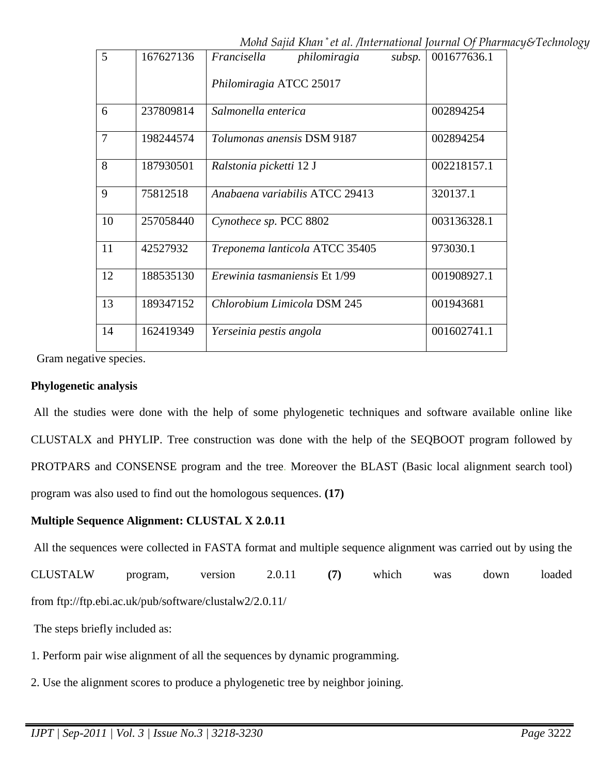*Mohd Sajid Khan \* et al. /International Journal Of Pharmacy&Technology*

| $\overline{5}$ | 167627136 | philomiragia<br>subsp.<br>Francisella | 001677636.1 |
|----------------|-----------|---------------------------------------|-------------|
|                |           | Philomiragia ATCC 25017               |             |
| 6              | 237809814 | Salmonella enterica                   | 002894254   |
| $\overline{7}$ | 198244574 | Tolumonas anensis DSM 9187            | 002894254   |
| 8              | 187930501 | Ralstonia picketti 12 J               | 002218157.1 |
| 9              | 75812518  | Anabaena variabilis ATCC 29413        | 320137.1    |
| 10             | 257058440 | Cynothece sp. PCC 8802                | 003136328.1 |
| 11             | 42527932  | Treponema lanticola ATCC 35405        | 973030.1    |
| 12             | 188535130 | Erewinia tasmaniensis Et 1/99         | 001908927.1 |
| 13             | 189347152 | Chlorobium Limicola DSM 245           | 001943681   |
| 14             | 162419349 | Yerseinia pestis angola               | 001602741.1 |

Gram negative species.

### **Phylogenetic analysis**

 All the studies were done with the help of some phylogenetic techniques and software available online like CLUSTALX and PHYLIP. Tree construction was done with the help of the SEQBOOT program followed by PROTPARS and CONSENSE program and the tree. Moreover the BLAST (Basic local alignment search tool) program was also used to find out the homologous sequences. **(17)** 

## **Multiple Sequence Alignment: CLUSTAL X 2.0.11**

All the sequences were collected in FASTA format and multiple sequence alignment was carried out by using the

CLUSTALW program, version 2.0.11 **(7)** which was down loaded from ftp://ftp.ebi.ac.uk/pub/software/clustalw2/2.0.11/

The steps briefly included as:

- 1. Perform pair wise alignment of all the sequences by dynamic programming.
- 2. Use the alignment scores to produce a phylogenetic tree by neighbor joining.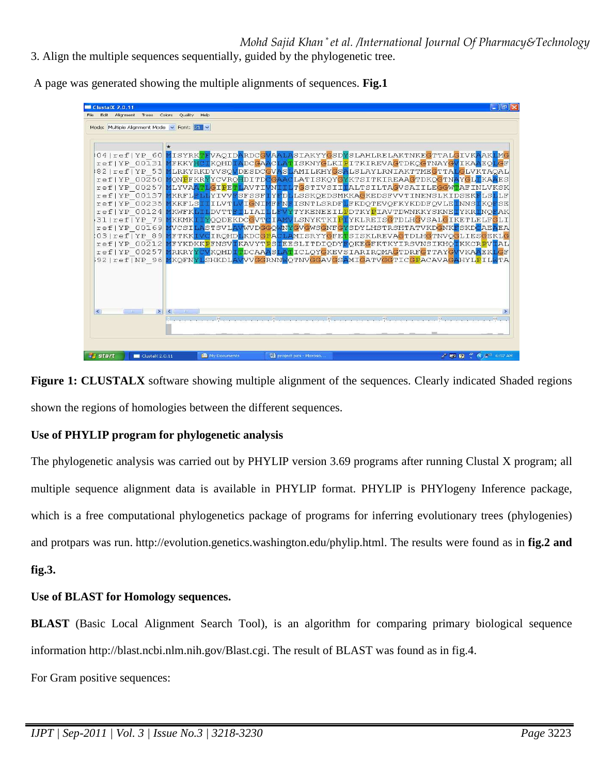3. Align the multiple sequences sequentially, guided by the phylogenetic tree.

File Edit Alignment Trees Colors Ouality Help Mode: Multiple Alignment Mode v Font: 21 v MISYRK<mark>TF</mark>VAQID<mark>A</mark>RDC<mark>GVA</mark> LASIAKYYGSDYSLAHLRELAKTNKEGTTALGIVK  $04 |ref|YP$  $60$ SIANT ISSUISLAHLEEMATHNEETTALGUIVAAR<br>AMILKHYGSALSIAYLRNIAKTTMEGTTALGLVKTA<br>AMILKHYGSALSLAYLRNIAKTTMEGTTALGLVKTA<br>LATISKQYGYKTSITKIREAAGTDKQGTNAYGL<mark>I</mark>KA<br>T<mark>G</mark>STIVSII<mark>I</mark>ALTSILTAGVSAIILEGGWTAFINLV www<br>ACLA<mark>!</mark><br>GVASI **ADCGA**  $ref|YP 00131$ **IFKKYHC** KQHD<mark>:</mark> LRKYRKDYVSOVDESDC  $821ref$  TYP 53 GIVKTAOAL  $refIFYP 00250$ QNPFKRYYCVRQHDITD 'N ref|YP 00257 **IT.YVA** GTPE **AVTT**  $\begin{array}{c} \mathbf{D} \\ \mathbf{N} \end{array}$ 00137 KRFL<mark>I</mark> SFSSF LSSKQEDSMKKAGKEDSFVVTINENSLKIDSEK reflYP YIVV  $ref/YP 00235$ KKFLS<mark>I</mark> **ILVT** VIGNI ISNTLSRDFLFKDQTEVQFKYKDDFQVLEINNS TYKENEEIL<mark>P</mark>DTKY<mark>P</mark>IAVTDWNKKYSKNE<mark>IYKRING</mark><br>LSNYKTKIPIYKLREISGTDLHGVSALGIKETLELE  $ref|YP$ 00124 KWFK DVTT LIAI  $31$  |  $ref$  |  $YP$ KKMK OODEKDCGVT  $L_{\rm{L}}$ TRESLITDIQDY<mark>F</mark>QKEGFKTKYIRSVMSIKHQTKKCR<mark>EVIAL</mark><br>J<mark>LA</mark>MISRYYGFETSISKLREVAGTDLHGTNVQGLIESGEKLG<br>LAMISRYYGFETSISKLREVAGTDLHGTNVQGLIESGEKLG  $ref|YP_00169$ VCSI WVDGGQ<br>KDCGPA **STSVL**  $03|ref|YP89$ FTKK IROHD  $ref|YP_00212$ FYKDKK<mark>P</mark>FNSV<mark>IKAVYT</mark>I  $AL$ TICLQYGKEVSIARIRQMAGTDRFGTTAYC ref1YP 00257 RKRY KQHD DCAA VKAAEK 92|ref|NP 96<mark>|M</mark>KQFN<mark>YL</mark>SHKDL VVGGRNN<mark>W</mark>QTNVGGAVGS<mark>A</mark>MIGATVGGTICGPACAVA<mark>0</mark>  $\left| \cdot \right|$ project pics - Mic **/ 國國 ( くご** 6:57 AM





## **Use of PHYLIP program for phylogenetic analysis**

The phylogenetic analysis was carried out by PHYLIP version 3.69 programs after running Clustal X program; all multiple sequence alignment data is available in PHYLIP format. PHYLIP is PHYlogeny Inference package, which is a free computational phylogenetics package of programs for inferring evolutionary trees (phylogenies) and protpars was run. http://evolution.genetics.washington.edu/phylip.html. The results were found as in **fig.2 and fig.3.** 

# **Use of BLAST for Homology sequences.**

**BLAST** (Basic Local Alignment Search Tool), is an algorithm for comparing primary biological sequence information http://blast.ncbi.nlm.nih.gov/Blast.cgi. The result of BLAST was found as in fig.4.

For Gram positive sequences: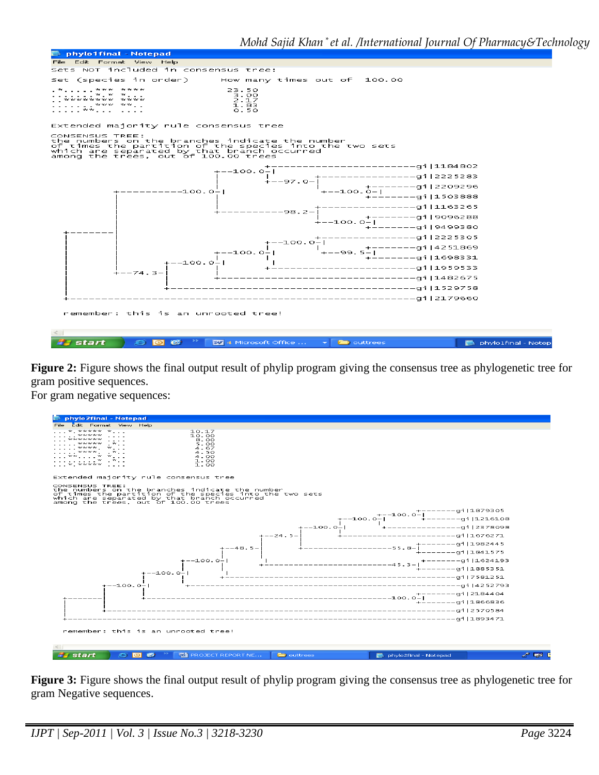

**Figure 2:** Figure shows the final output result of phylip program giving the consensus tree as phylogenetic tree for gram positive sequences.

For gram negative sequences:



**Figure 3:** Figure shows the final output result of phylip program giving the consensus tree as phylogenetic tree for gram Negative sequences.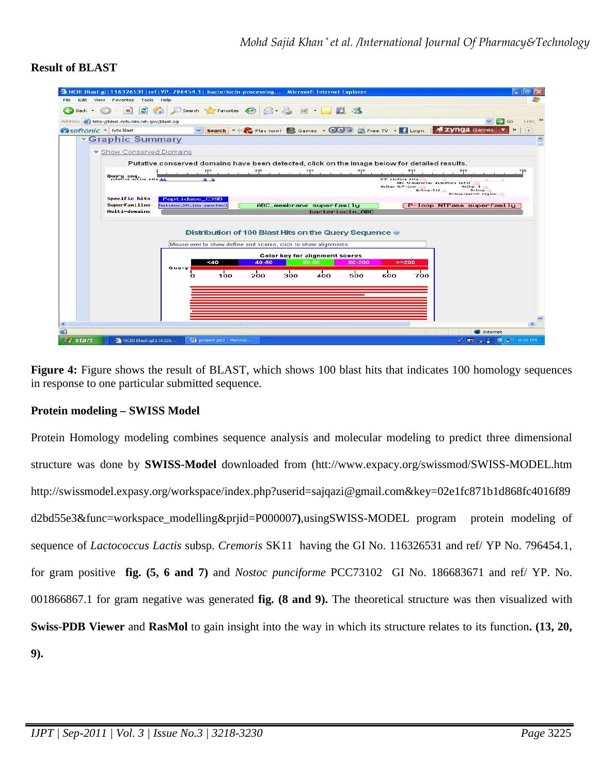### **Result of BLAST**



**Figure 4:** Figure shows the result of BLAST, which shows 100 blast hits that indicates 100 homology sequences in response to one particular submitted sequence.

## **Protein modeling – SWISS Model**

Protein Homology modeling combines sequence analysis and molecular modeling to predict three dimensional structure was done by **SWISS-Model** downloaded from (htt://www.expacy.org/swissmod/SWISS-MODEL.htm http://swissmodel.expasy.org/workspace/index.php?userid=sajqazi@gmail.com&key=02e1fc871b1d868fc4016f89 d2bd55e3&func=workspace\_modelling&prjid=P000007**)**,usingSWISS-MODEL program protein modeling of sequence of *Lactococcus Lactis* subsp. *Cremoris* SK11 having the GI No. 116326531 and ref/ YP No. 796454.1, for gram positive **fig. (5, 6 and 7)** and *Nostoc punciforme* PCC73102 GI No. 186683671 and ref/ YP. No. 001866867.1 for gram negative was generated **fig. (8 and 9).** The theoretical structure was then visualized with **Swiss-PDB Viewer** and **RasMol** to gain insight into the way in which its structure relates to its function**. (13, 20, 9).**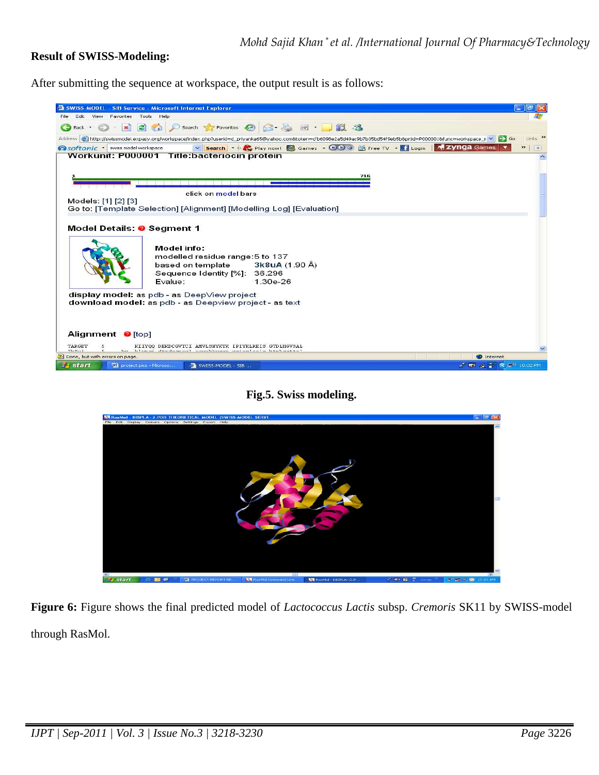### **Result of SWISS-Modeling:**

After submitting the sequence at workspace, the output result is as follows:



**Fig.5. Swiss modeling.** 



**Figure 6:** Figure shows the final predicted model of *Lactococcus Lactis* subsp. *Cremoris* SK11 by SWISS-model through RasMol.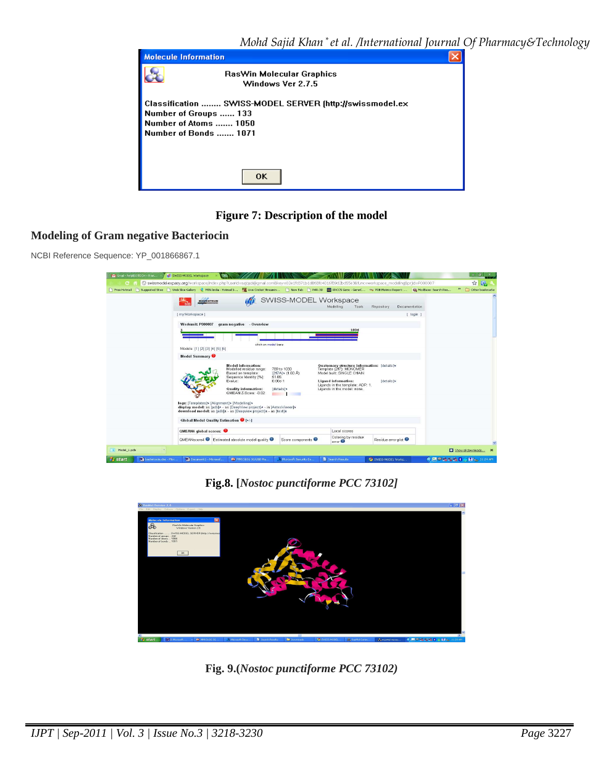| <b>Molecule Information</b> |                                                                                                                                     |  |
|-----------------------------|-------------------------------------------------------------------------------------------------------------------------------------|--|
|                             | RasWin Molecular Graphics<br>Windows Ver 2.7.5                                                                                      |  |
|                             | Classification  SWISS-MODEL SERVER (http://swissmodel.ex<br>Number of Groups  133<br>Number of Atoms  1050<br>Number of Bonds  1071 |  |
|                             | <b>OK</b>                                                                                                                           |  |

**Figure 7: Description of the model**

## **Modeling of Gram negative Bacteriocin**

NCBI Reference Sequence: YP\_001866867.1

| M Gmail - helpBIOTECH - 9 ne                   | <b>GV</b> SWISS-MODEL Workspace                            |                                                                                                                                                                                                                                                                                                                    |                                                                       |                                                                                                                                                                                                        |                                                                                                                                                | $ -$<br>$\mathbf{x}$        |
|------------------------------------------------|------------------------------------------------------------|--------------------------------------------------------------------------------------------------------------------------------------------------------------------------------------------------------------------------------------------------------------------------------------------------------------------|-----------------------------------------------------------------------|--------------------------------------------------------------------------------------------------------------------------------------------------------------------------------------------------------|------------------------------------------------------------------------------------------------------------------------------------------------|-----------------------------|
| $\mathbf{C}$                                   |                                                            |                                                                                                                                                                                                                                                                                                                    |                                                                       |                                                                                                                                                                                                        | © swissmodel.expasy.org/workspace/index.php?userid=sajqazi@gmai.com8key=02e1fc871b1d868fc4016f89d2bd55e38func=workspace_modeling8prjid=P000007 | $\frac{1}{2}$<br>G.         |
| Free Hotmail                                   | Suggested Sites 3 Web Sice Gallery M MSN India - Hotmail b |                                                                                                                                                                                                                                                                                                                    |                                                                       |                                                                                                                                                                                                        | Live Cricket Streamin   New Tab   PAR-3D   PAR-3D   RCCS Gene - GeneC PDB Metrics Report:  (@ ModBase: Search Res                              | $\infty$<br>Other bookmarks |
|                                                | <b>BIOZENTRUM</b><br><b>SIP</b>                            |                                                                                                                                                                                                                                                                                                                    |                                                                       | SWISS-MODEL Workspace<br>Modelling<br>Tools.                                                                                                                                                           | Repository<br><b>Documentation</b>                                                                                                             |                             |
|                                                | [ myWorkspace ]                                            |                                                                                                                                                                                                                                                                                                                    |                                                                       |                                                                                                                                                                                                        | [ login                                                                                                                                        |                             |
|                                                | Workunit: P000007                                          | gram negative - Overview                                                                                                                                                                                                                                                                                           |                                                                       | 1834                                                                                                                                                                                                   |                                                                                                                                                |                             |
|                                                | Models: [1] [2] [3] [4] [5] [6]                            | click on model bars                                                                                                                                                                                                                                                                                                |                                                                       |                                                                                                                                                                                                        |                                                                                                                                                |                             |
|                                                | Model Summary                                              |                                                                                                                                                                                                                                                                                                                    |                                                                       |                                                                                                                                                                                                        |                                                                                                                                                |                             |
|                                                | logs: [Templates]> [Alignment]> [Modelling]>               | <b>Model information:</b><br>Modelled residue range:<br>Based on template:<br>Sequence Identity [%]:<br>Evalue:<br><b>Quality information:</b><br>QMEAN Z-Score: -0.02<br>display model: as [pdb]* - as [DeepView project]* - in [AstexViewer]*<br>download model: as [pdb]± - as [Deepview project]± - as [text]± | 789 to 1030<br>[2ff7A] = (1.60 A)<br>51.85<br>$0.00e-1$<br>[details]* | Quaternary structure information: [details]><br>Template (2ff7): MONOMER<br>Model built: SINGLE CHAIN<br><b>Ligand information:</b><br>Ligands in the template: ADP: 1.<br>Ligands in the model: none. | [details]»                                                                                                                                     |                             |
|                                                | Global Model Quality Estimation <sup>1</sup> [+/-]         |                                                                                                                                                                                                                                                                                                                    |                                                                       |                                                                                                                                                                                                        |                                                                                                                                                |                             |
|                                                | <b>OMEAN4</b> alobal scores:                               |                                                                                                                                                                                                                                                                                                                    |                                                                       | Local scores                                                                                                                                                                                           |                                                                                                                                                |                             |
|                                                |                                                            | <b>QMEANscore4 ©</b> Estimated absolute model quality <sup>●</sup>                                                                                                                                                                                                                                                 | Score components                                                      | Coloring by residue<br>error <sup>2</sup>                                                                                                                                                              | Residue error plot                                                                                                                             |                             |
| 同<br>Model 1.pdb                               |                                                            |                                                                                                                                                                                                                                                                                                                    |                                                                       |                                                                                                                                                                                                        |                                                                                                                                                | Show all downloads<br>×     |
| Mill bacteriocin.doc - Micr<br><b>El start</b> | M Document1 - Microsof                                     | m MMX310G 3G USB Ma.                                                                                                                                                                                                                                                                                               | Microsoft Security Es                                                 | Search Results                                                                                                                                                                                         | SWISS-MODEL Works                                                                                                                              | <b>《四〇五型五日二曲》</b> 11:24 AM  |

**Fig.8. [***Nostoc punctiforme PCC 73102]* 



**Fig. 9.(***Nostoc punctiforme PCC 73102)*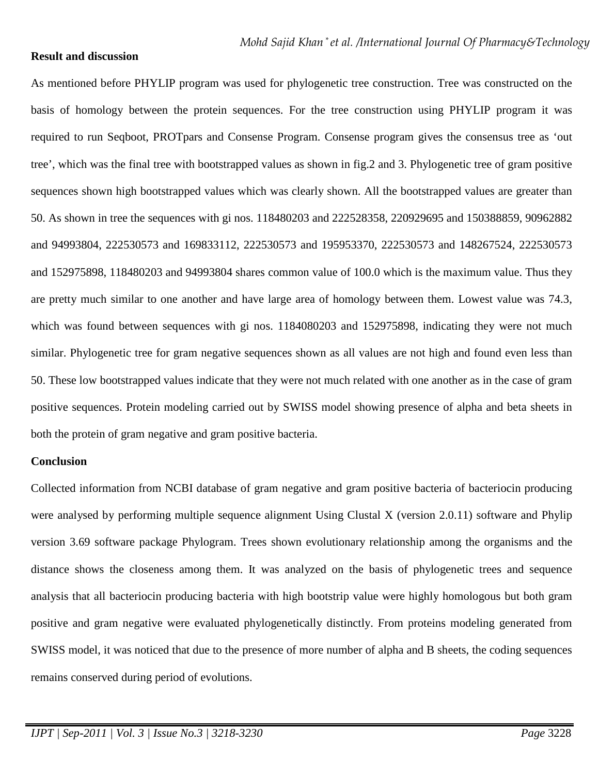### **Result and discussion**

As mentioned before PHYLIP program was used for phylogenetic tree construction. Tree was constructed on the basis of homology between the protein sequences. For the tree construction using PHYLIP program it was required to run Seqboot, PROTpars and Consense Program. Consense program gives the consensus tree as 'out tree', which was the final tree with bootstrapped values as shown in fig.2 and 3. Phylogenetic tree of gram positive sequences shown high bootstrapped values which was clearly shown. All the bootstrapped values are greater than 50. As shown in tree the sequences with gi nos. 118480203 and 222528358, 220929695 and 150388859, 90962882 and 94993804, 222530573 and 169833112, 222530573 and 195953370, 222530573 and 148267524, 222530573 and 152975898, 118480203 and 94993804 shares common value of 100.0 which is the maximum value. Thus they are pretty much similar to one another and have large area of homology between them. Lowest value was 74.3, which was found between sequences with gi nos.  $1184080203$  and  $152975898$ , indicating they were not much similar. Phylogenetic tree for gram negative sequences shown as all values are not high and found even less than 50. These low bootstrapped values indicate that they were not much related with one another as in the case of gram positive sequences. Protein modeling carried out by SWISS model showing presence of alpha and beta sheets in both the protein of gram negative and gram positive bacteria.

### **Conclusion**

Collected information from NCBI database of gram negative and gram positive bacteria of bacteriocin producing were analysed by performing multiple sequence alignment Using Clustal X (version 2.0.11) software and Phylip version 3.69 software package Phylogram. Trees shown evolutionary relationship among the organisms and the distance shows the closeness among them. It was analyzed on the basis of phylogenetic trees and sequence analysis that all bacteriocin producing bacteria with high bootstrip value were highly homologous but both gram positive and gram negative were evaluated phylogenetically distinctly. From proteins modeling generated from SWISS model, it was noticed that due to the presence of more number of alpha and B sheets, the coding sequences remains conserved during period of evolutions.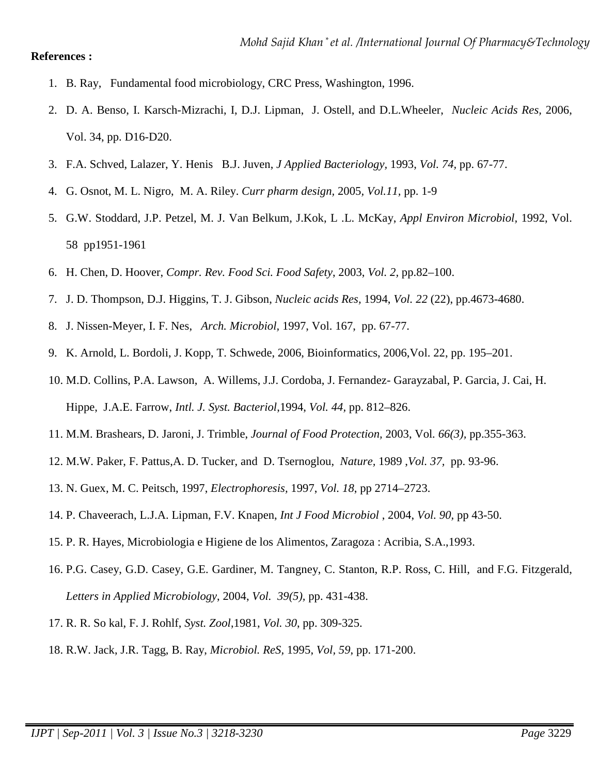#### **References :**

- 1. B. Ray, Fundamental food microbiology, CRC Press, Washington, 1996.
- 2. D. A. Benso, I. Karsch-Mizrachi, I, D.J. Lipman, J. Ostell, and D.L.Wheeler, *Nucleic Acids Res,* 2006, Vol. 34, pp. D16-D20.
- 3. F.A. Schved, Lalazer, Y. Henis B.J. Juven, *J Applied Bacteriology,* 1993, *Vol. 74,* pp. 67-77.
- 4. G. Osnot, M. L. Nigro, M. A. Riley. *Curr pharm design,* 2005*, Vol.11,* pp. 1-9
- 5. G.W. Stoddard, J.P. Petzel, M. J. Van Belkum, J.Kok, L .L. McKay, *Appl Environ Microbiol,* 1992, Vol. 58 pp1951-1961
- 6. H. Chen, D. Hoover, *Compr. Rev. Food Sci. Food Safety*, 2003, *Vol. 2,* pp.82–100.
- 7. J. D. Thompson, D.J. Higgins, T. J. Gibson, *Nucleic acids Res,* 1994, *Vol. 22* (22), pp.4673-4680.
- 8. J. Nissen-Meyer, I. F. Nes, *Arch. Microbiol,* 1997, Vol. 167, pp. 67-77.
- 9. K. Arnold, L. Bordoli, J. Kopp, T. Schwede, 2006, Bioinformatics, 2006,Vol. 22, pp. 195–201.
- 10. M.D. Collins, P.A. Lawson, A. Willems, J.J. Cordoba, J. Fernandez- Garayzabal, P. Garcia, J. Cai, H. Hippe, J.A.E. Farrow, *Intl. J. Syst. Bacteriol*,1994, *Vol. 44,* pp. 812–826.
- 11. M.M. Brashears, D. Jaroni, J. Trimble, *Journal of Food Protection,* 2003, Vol*. 66(3),* pp.355-363.
- 12. M.W. Paker, F. Pattus,A. D. Tucker, and D. Tsernoglou, *Nature,* 1989 ,*Vol. 37,* pp. 93-96.
- 13. N. Guex, M. C. Peitsch, 1997, *Electrophoresis,* 1997, *Vol. 18*, pp 2714–2723.
- 14. P. Chaveerach, L.J.A. Lipman, F.V. Knapen, *Int J Food Microbiol* , 2004, *Vol. 90,* pp 43-50.
- 15. P. R. Hayes, Microbiologia e Higiene de los Alimentos, Zaragoza : Acribia, S.A.,1993.
- 16. P.G. Casey, G.D. Casey, G.E. Gardiner, M. Tangney, C. Stanton, R.P. Ross, C. Hill, and F.G. Fitzgerald, *Letters in Applied Microbiology*, 2004, *Vol. 39(5),* pp. 431-438.
- 17. R. R. So kal, F. J. Rohlf, *Syst. Zool*,1981, *Vol. 30*, pp. 309-325.
- 18. R.W. Jack, J.R. Tagg, B. Ray, *Microbiol. ReS,* 1995, *Vol, 59*, pp. 171-200.